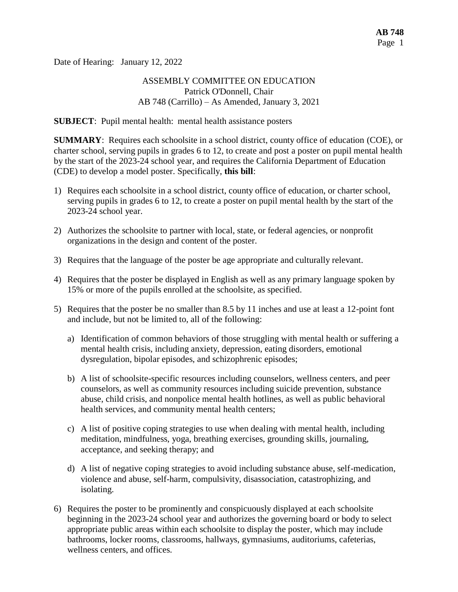Date of Hearing: January 12, 2022

### ASSEMBLY COMMITTEE ON EDUCATION Patrick O'Donnell, Chair AB 748 (Carrillo) – As Amended, January 3, 2021

**SUBJECT**: Pupil mental health: mental health assistance posters

**SUMMARY**: Requires each schoolsite in a school district, county office of education (COE), or charter school, serving pupils in grades 6 to 12, to create and post a poster on pupil mental health by the start of the 2023-24 school year, and requires the California Department of Education (CDE) to develop a model poster. Specifically, **this bill**:

- 1) Requires each schoolsite in a school district, county office of education, or charter school, serving pupils in grades 6 to 12, to create a poster on pupil mental health by the start of the 2023-24 school year.
- 2) Authorizes the schoolsite to partner with local, state, or federal agencies, or nonprofit organizations in the design and content of the poster.
- 3) Requires that the language of the poster be age appropriate and culturally relevant.
- 4) Requires that the poster be displayed in English as well as any primary language spoken by 15% or more of the pupils enrolled at the schoolsite, as specified.
- 5) Requires that the poster be no smaller than 8.5 by 11 inches and use at least a 12-point font and include, but not be limited to, all of the following:
	- a) Identification of common behaviors of those struggling with mental health or suffering a mental health crisis, including anxiety, depression, eating disorders, emotional dysregulation, bipolar episodes, and schizophrenic episodes;
	- b) A list of schoolsite-specific resources including counselors, wellness centers, and peer counselors, as well as community resources including suicide prevention, substance abuse, child crisis, and nonpolice mental health hotlines, as well as public behavioral health services, and community mental health centers;
	- c) A list of positive coping strategies to use when dealing with mental health, including meditation, mindfulness, yoga, breathing exercises, grounding skills, journaling, acceptance, and seeking therapy; and
	- d) A list of negative coping strategies to avoid including substance abuse, self-medication, violence and abuse, self-harm, compulsivity, disassociation, catastrophizing, and isolating.
- 6) Requires the poster to be prominently and conspicuously displayed at each schoolsite beginning in the 2023-24 school year and authorizes the governing board or body to select appropriate public areas within each schoolsite to display the poster, which may include bathrooms, locker rooms, classrooms, hallways, gymnasiums, auditoriums, cafeterias, wellness centers, and offices.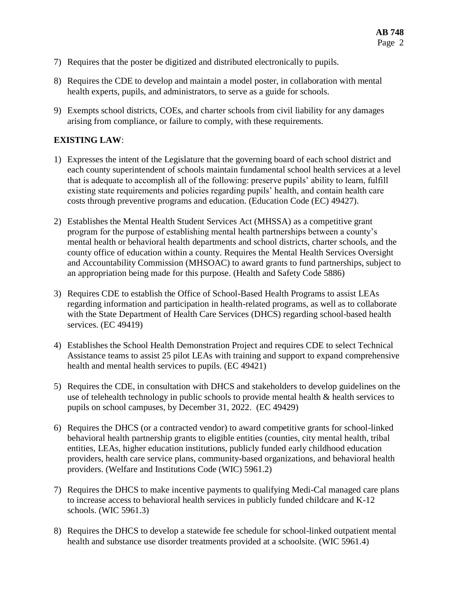- 7) Requires that the poster be digitized and distributed electronically to pupils.
- 8) Requires the CDE to develop and maintain a model poster, in collaboration with mental health experts, pupils, and administrators, to serve as a guide for schools.
- 9) Exempts school districts, COEs, and charter schools from civil liability for any damages arising from compliance, or failure to comply, with these requirements.

# **EXISTING LAW**:

- 1) Expresses the intent of the Legislature that the governing board of each school district and each county superintendent of schools maintain fundamental school health services at a level that is adequate to accomplish all of the following: preserve pupils' ability to learn, fulfill existing state requirements and policies regarding pupils' health, and contain health care costs through preventive programs and education. (Education Code (EC) 49427).
- 2) Establishes the Mental Health Student Services Act (MHSSA) as a competitive grant program for the purpose of establishing mental health partnerships between a county's mental health or behavioral health departments and school districts, charter schools, and the county office of education within a county. Requires the Mental Health Services Oversight and Accountability Commission (MHSOAC) to award grants to fund partnerships, subject to an appropriation being made for this purpose. (Health and Safety Code 5886)
- 3) Requires CDE to establish the Office of School-Based Health Programs to assist LEAs regarding information and participation in health-related programs, as well as to collaborate with the State Department of Health Care Services (DHCS) regarding school-based health services. (EC 49419)
- 4) Establishes the School Health Demonstration Project and requires CDE to select Technical Assistance teams to assist 25 pilot LEAs with training and support to expand comprehensive health and mental health services to pupils. (EC 49421)
- 5) Requires the CDE, in consultation with DHCS and stakeholders to develop guidelines on the use of telehealth technology in public schools to provide mental health & health services to pupils on school campuses, by December 31, 2022. (EC 49429)
- 6) Requires the DHCS (or a contracted vendor) to award competitive grants for school-linked behavioral health partnership grants to eligible entities (counties, city mental health, tribal entities, LEAs, higher education institutions, publicly funded early childhood education providers, health care service plans, community-based organizations, and behavioral health providers. (Welfare and Institutions Code (WIC) 5961.2)
- 7) Requires the DHCS to make incentive payments to qualifying Medi-Cal managed care plans to increase access to behavioral health services in publicly funded childcare and K-12 schools. (WIC 5961.3)
- 8) Requires the DHCS to develop a statewide fee schedule for school-linked outpatient mental health and substance use disorder treatments provided at a schoolsite. (WIC 5961.4)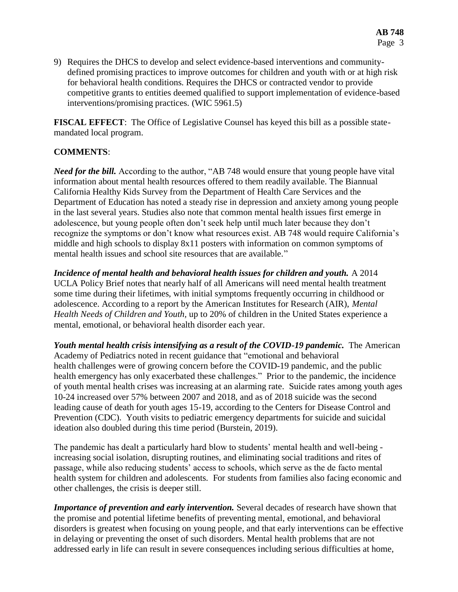9) Requires the DHCS to develop and select evidence-based interventions and communitydefined promising practices to improve outcomes for children and youth with or at high risk for behavioral health conditions. Requires the DHCS or contracted vendor to provide competitive grants to entities deemed qualified to support implementation of evidence-based interventions/promising practices. (WIC 5961.5)

**FISCAL EFFECT**: The Office of Legislative Counsel has keyed this bill as a possible statemandated local program.

# **COMMENTS**:

*Need for the bill.* According to the author, "AB 748 would ensure that young people have vital information about mental health resources offered to them readily available. The Biannual California Healthy Kids Survey from the Department of Health Care Services and the Department of Education has noted a steady rise in depression and anxiety among young people in the last several years. Studies also note that common mental health issues first emerge in adolescence, but young people often don't seek help until much later because they don't recognize the symptoms or don't know what resources exist. AB 748 would require California's middle and high schools to display 8x11 posters with information on common symptoms of mental health issues and school site resources that are available."

*Incidence of mental health and behavioral health issues for children and youth.* A 2014 UCLA Policy Brief notes that nearly half of all Americans will need mental health treatment some time during their lifetimes, with initial symptoms frequently occurring in childhood or adolescence. According to a report by the American Institutes for Research (AIR), *Mental Health Needs of Children and Youth,* up to 20% of children in the United States experience a mental, emotional, or behavioral health disorder each year.

*Youth mental health crisis intensifying as a result of the COVID-19 pandemic.* The American Academy of Pediatrics noted in recent guidance that "emotional and behavioral health challenges were of growing concern before the COVID-19 pandemic, and the public health emergency has only exacerbated these challenges." Prior to the pandemic, the incidence of youth mental health crises was increasing at an alarming rate. Suicide rates among youth ages 10-24 increased over 57% between 2007 and 2018, and as of 2018 suicide was the second leading cause of death for youth ages 15-19, according to the Centers for Disease Control and Prevention (CDC). Youth visits to pediatric emergency departments for suicide and suicidal ideation also doubled during this time period (Burstein, 2019).

The pandemic has dealt a particularly hard blow to students' mental health and well-being increasing social isolation, disrupting routines, and eliminating social traditions and rites of passage, while also reducing students' access to schools, which serve as the de facto mental health system for children and adolescents. For students from families also facing economic and other challenges, the crisis is deeper still.

*Importance of prevention and early intervention.* Several decades of research have shown that the promise and potential lifetime benefits of preventing mental, emotional, and behavioral disorders is greatest when focusing on young people, and that early interventions can be effective in delaying or preventing the onset of such disorders. Mental health problems that are not addressed early in life can result in severe consequences including serious difficulties at home,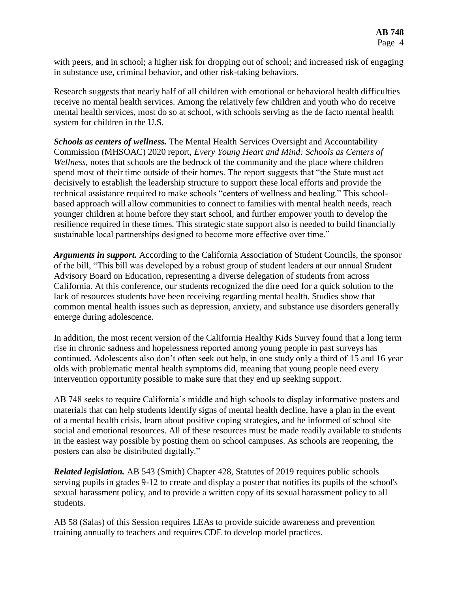with peers, and in school; a higher risk for dropping out of school; and increased risk of engaging in substance use, criminal behavior, and other risk-taking behaviors.

Research suggests that nearly half of all children with emotional or behavioral health difficulties receive no mental health services. Among the relatively few children and youth who do receive mental health services, most do so at school, with schools serving as the de facto mental health system for children in the U.S.

*Schools as centers of wellness.* The Mental Health Services Oversight and Accountability Commission (MHSOAC) 2020 report, *Every Young Heart and Mind: Schools as Centers of Wellness,* notes that schools are the bedrock of the community and the place where children spend most of their time outside of their homes. The report suggests that "the State must act decisively to establish the leadership structure to support these local efforts and provide the technical assistance required to make schools "centers of wellness and healing." This schoolbased approach will allow communities to connect to families with mental health needs, reach younger children at home before they start school, and further empower youth to develop the resilience required in these times. This strategic state support also is needed to build financially sustainable local partnerships designed to become more effective over time."

*Arguments in support.* According to the California Association of Student Councils, the sponsor of the bill, "This bill was developed by a robust group of student leaders at our annual Student Advisory Board on Education, representing a diverse delegation of students from across California. At this conference, our students recognized the dire need for a quick solution to the lack of resources students have been receiving regarding mental health. Studies show that common mental health issues such as depression, anxiety, and substance use disorders generally emerge during adolescence.

In addition, the most recent version of the California Healthy Kids Survey found that a long term rise in chronic sadness and hopelessness reported among young people in past surveys has continued. Adolescents also don't often seek out help, in one study only a third of 15 and 16 year olds with problematic mental health symptoms did, meaning that young people need every intervention opportunity possible to make sure that they end up seeking support.

AB 748 seeks to require California's middle and high schools to display informative posters and materials that can help students identify signs of mental health decline, have a plan in the event of a mental health crisis, learn about positive coping strategies, and be informed of school site social and emotional resources. All of these resources must be made readily available to students in the easiest way possible by posting them on school campuses. As schools are reopening, the posters can also be distributed digitally."

*Related legislation.* AB 543 (Smith) Chapter 428, Statutes of 2019 requires public schools serving pupils in grades 9-12 to create and display a poster that notifies its pupils of the school's sexual harassment policy, and to provide a written copy of its sexual harassment policy to all students.

AB 58 (Salas) of this Session requires LEAs to provide suicide awareness and prevention training annually to teachers and requires CDE to develop model practices.